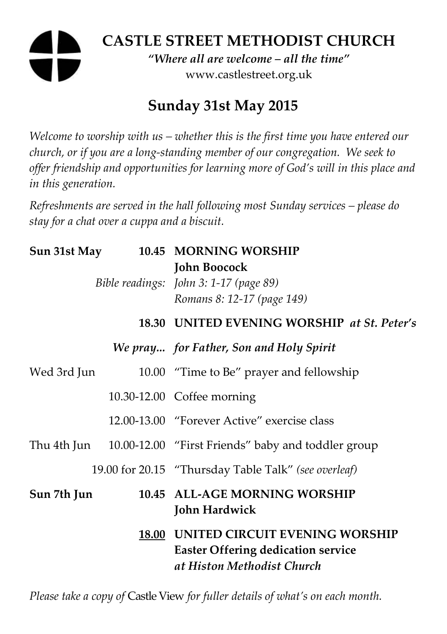# **CASTLE STREET METHODIST CHURCH**  *"Where all are welcome – all the time"*  www.castlestreet.org.uk

## **Sunday 31st May 2015**

*Welcome to worship with us – whether this is the first time you have entered our church, or if you are a long-standing member of our congregation. We seek to offer friendship and opportunities for learning more of God's will in this place and in this generation.* 

*Refreshments are served in the hall following most Sunday services – please do stay for a chat over a cuppa and a biscuit.* 

| Sun 31st May | 10.45 MORNING WORSHIP<br><b>John Boocock</b><br>Bible readings: John 3: 1-17 (page 89)<br>Romans 8: 12-17 (page 149) |
|--------------|----------------------------------------------------------------------------------------------------------------------|
|              | 18.30 UNITED EVENING WORSHIP at St. Peter's                                                                          |
|              | We pray for Father, Son and Holy Spirit                                                                              |
| Wed 3rd Jun  | 10.00 "Time to Be" prayer and fellowship                                                                             |
|              | 10.30-12.00 Coffee morning                                                                                           |
|              | 12.00-13.00 "Forever Active" exercise class                                                                          |
|              | Thu 4th Jun 10.00-12.00 "First Friends" baby and toddler group                                                       |
|              | 19.00 for 20.15 "Thursday Table Talk" (see overleaf)                                                                 |
| Sun 7th Jun  | 10.45 ALL-AGE MORNING WORSHIP<br>John Hardwick                                                                       |
|              | 18.00 UNITED CIRCUIT EVENING WORSHIP<br><b>Easter Offering dedication service</b><br>at Histon Methodist Church      |

*Please take a copy of* Castle View *for fuller details of what's on each month.*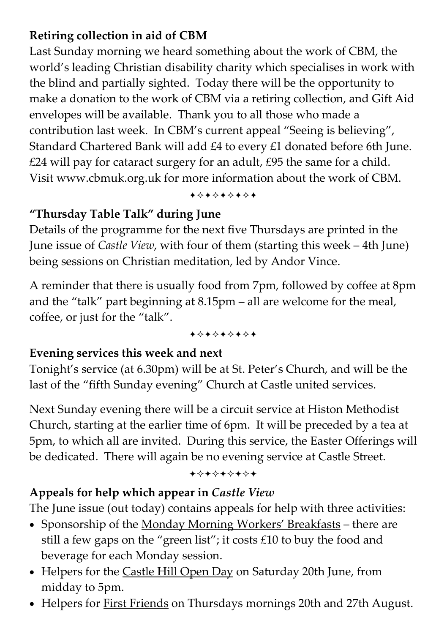## **Retiring collection in aid of CBM**

Last Sunday morning we heard something about the work of CBM, the world's leading Christian disability charity which specialises in work with the blind and partially sighted. Today there will be the opportunity to make a donation to the work of CBM via a retiring collection, and Gift Aid envelopes will be available. Thank you to all those who made a contribution last week. In CBM's current appeal "Seeing is believing", Standard Chartered Bank will add £4 to every £1 donated before 6th June. £24 will pay for cataract surgery for an adult, £95 the same for a child. Visit www.cbmuk.org.uk for more information about the work of CBM.

+\*\*\*\*\*\*\*

## **"Thursday Table Talk" during June**

Details of the programme for the next five Thursdays are printed in the June issue of *Castle View*, with four of them (starting this week – 4th June) being sessions on Christian meditation, led by Andor Vince.

A reminder that there is usually food from 7pm, followed by coffee at 8pm and the "talk" part beginning at 8.15pm – all are welcome for the meal, coffee, or just for the "talk".

+\*\*\*\*\*\*\*

#### **Evening services this week and next**

Tonight's service (at 6.30pm) will be at St. Peter's Church, and will be the last of the "fifth Sunday evening" Church at Castle united services.

Next Sunday evening there will be a circuit service at Histon Methodist Church, starting at the earlier time of 6pm. It will be preceded by a tea at 5pm, to which all are invited. During this service, the Easter Offerings will be dedicated. There will again be no evening service at Castle Street.

+\*+\*\*\*\*\*

## **Appeals for help which appear in** *Castle View*

The June issue (out today) contains appeals for help with three activities:

- Sponsorship of the Monday Morning Workers' Breakfasts there are still a few gaps on the "green list"; it costs £10 to buy the food and beverage for each Monday session.
- Helpers for the Castle Hill Open Day on Saturday 20th June, from midday to 5pm.
- Helpers for First Friends on Thursdays mornings 20th and 27th August.